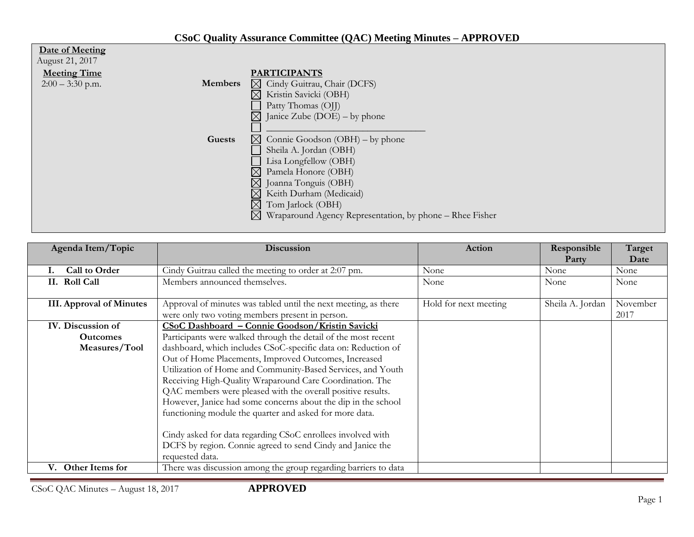## **CSoC Quality Assurance Committee (QAC) Meeting Minutes – APPROVED**

| Date of Meeting     |                |                                                                         |
|---------------------|----------------|-------------------------------------------------------------------------|
| August 21, 2017     |                |                                                                         |
| <b>Meeting Time</b> |                | <b>PARTICIPANTS</b>                                                     |
| $2:00 - 3:30$ p.m.  | <b>Members</b> | $\boxtimes$ Cindy Guitrau, Chair (DCFS)                                 |
|                     |                | $\boxtimes$ Kristin Savicki (OBH)                                       |
|                     |                | Patty Thomas (OJJ)                                                      |
|                     |                | $\boxtimes$ Janice Zube (DOE) – by phone                                |
|                     |                |                                                                         |
|                     | Guests         | $\boxtimes$ Connie Goodson (OBH) – by phone                             |
|                     |                | Sheila A. Jordan (OBH)                                                  |
|                     |                | Lisa Longfellow (OBH)                                                   |
|                     |                | Pamela Honore (OBH)                                                     |
|                     |                | ⊠ Joanna Tonguis (OBH)                                                  |
|                     |                | $\boxtimes$ Keith Durham (Medicaid)                                     |
|                     |                | $\boxtimes$<br>Tom Jarlock (OBH)                                        |
|                     |                | $\boxtimes$<br>Wraparound Agency Representation, by phone – Rhee Fisher |
|                     |                |                                                                         |

| Agenda Item/Topic               | <b>Discussion</b>                                               | Action                | Responsible<br>Party | Target<br>Date |
|---------------------------------|-----------------------------------------------------------------|-----------------------|----------------------|----------------|
| Call to Order                   | Cindy Guitrau called the meeting to order at 2:07 pm.           | None                  | None                 | None           |
| II. Roll Call                   | Members announced themselves.                                   | None                  | None                 | None           |
|                                 |                                                                 |                       |                      |                |
| <b>III.</b> Approval of Minutes | Approval of minutes was tabled until the next meeting, as there | Hold for next meeting | Sheila A. Jordan     | November       |
|                                 | were only two voting members present in person.                 |                       |                      | 2017           |
| IV. Discussion of               | CSoC Dashboard - Connie Goodson/Kristin Savicki                 |                       |                      |                |
| <b>Outcomes</b>                 | Participants were walked through the detail of the most recent  |                       |                      |                |
| Measures/Tool                   | dashboard, which includes CSoC-specific data on: Reduction of   |                       |                      |                |
|                                 | Out of Home Placements, Improved Outcomes, Increased            |                       |                      |                |
|                                 | Utilization of Home and Community-Based Services, and Youth     |                       |                      |                |
|                                 | Receiving High-Quality Wraparound Care Coordination. The        |                       |                      |                |
|                                 | QAC members were pleased with the overall positive results.     |                       |                      |                |
|                                 | However, Janice had some concerns about the dip in the school   |                       |                      |                |
|                                 | functioning module the quarter and asked for more data.         |                       |                      |                |
|                                 |                                                                 |                       |                      |                |
|                                 | Cindy asked for data regarding CSoC enrollees involved with     |                       |                      |                |
|                                 | DCFS by region. Connie agreed to send Cindy and Janice the      |                       |                      |                |
|                                 | requested data.                                                 |                       |                      |                |
| Other Items for<br>V.           | There was discussion among the group regarding barriers to data |                       |                      |                |